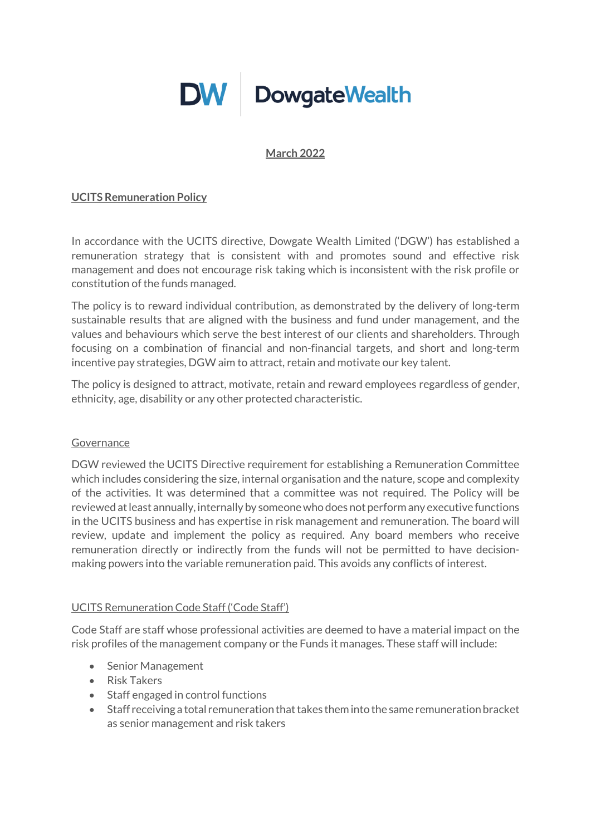# **DW** DowgateWealth

#### **March 2022**

### **UCITS Remuneration Policy**

In accordance with the UCITS directive, Dowgate Wealth Limited ('DGW') has established a remuneration strategy that is consistent with and promotes sound and effective risk management and does not encourage risk taking which is inconsistent with the risk profile or constitution of the funds managed.

The policy is to reward individual contribution, as demonstrated by the delivery of long-term sustainable results that are aligned with the business and fund under management, and the values and behaviours which serve the best interest of our clients and shareholders. Through focusing on a combination of financial and non-financial targets, and short and long-term incentive pay strategies, DGW aim to attract, retain and motivate our key talent.

The policy is designed to attract, motivate, retain and reward employees regardless of gender, ethnicity, age, disability or any other protected characteristic.

#### Governance

DGW reviewed the UCITS Directive requirement for establishing a Remuneration Committee which includes considering the size, internal organisation and the nature, scope and complexity of the activities. It was determined that a committee was not required. The Policy will be reviewed at least annually, internally by someone who does not perform any executive functions in the UCITS business and has expertise in risk management and remuneration. The board will review, update and implement the policy as required. Any board members who receive remuneration directly or indirectly from the funds will not be permitted to have decisionmaking powers into the variable remuneration paid. This avoids any conflicts of interest.

#### UCITS Remuneration Code Staff ('Code Staff')

Code Staff are staff whose professional activities are deemed to have a material impact on the risk profiles of the management company or the Funds it manages. These staff will include:

- Senior Management
- Risk Takers
- Staff engaged in control functions
- Staff receiving a total remuneration that takes them into the same remuneration bracket as senior management and risk takers